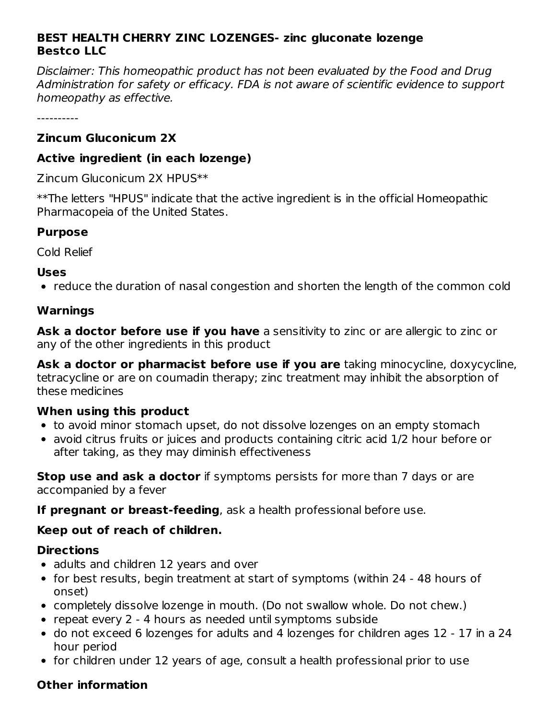### **BEST HEALTH CHERRY ZINC LOZENGES- zinc gluconate lozenge Bestco LLC**

Disclaimer: This homeopathic product has not been evaluated by the Food and Drug Administration for safety or efficacy. FDA is not aware of scientific evidence to support homeopathy as effective.

----------

### **Zincum Gluconicum 2X**

### **Active ingredient (in each lozenge)**

Zincum Gluconicum 2X HPUS\*\*

\*\*The letters "HPUS" indicate that the active ingredient is in the official Homeopathic Pharmacopeia of the United States.

### **Purpose**

Cold Relief

#### **Uses**

• reduce the duration of nasal congestion and shorten the length of the common cold

## **Warnings**

**Ask a doctor before use if you have** a sensitivity to zinc or are allergic to zinc or any of the other ingredients in this product

**Ask a doctor or pharmacist before use if you are** taking minocycline, doxycycline, tetracycline or are on coumadin therapy; zinc treatment may inhibit the absorption of these medicines

### **When using this product**

- to avoid minor stomach upset, do not dissolve lozenges on an empty stomach
- avoid citrus fruits or juices and products containing citric acid 1/2 hour before or after taking, as they may diminish effectiveness

**Stop use and ask a doctor** if symptoms persists for more than 7 days or are accompanied by a fever

**If pregnant or breast-feeding**, ask a health professional before use.

### **Keep out of reach of children.**

### **Directions**

- adults and children 12 years and over
- for best results, begin treatment at start of symptoms (within 24 48 hours of onset)
- completely dissolve lozenge in mouth. (Do not swallow whole. Do not chew.)
- repeat every 2 4 hours as needed until symptoms subside
- do not exceed 6 lozenges for adults and 4 lozenges for children ages 12 17 in a 24 hour period
- for children under 12 years of age, consult a health professional prior to use

# **Other information**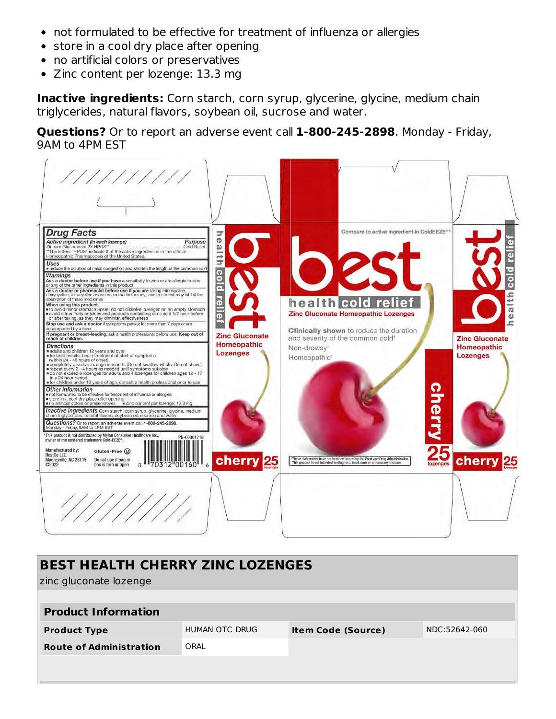- not formulated to be effective for treatment of influenza or allergies
- store in a cool dry place after opening
- no artificial colors or preservatives
- $\bullet$ Zinc content per lozenge: 13.3 mg

**Inactive ingredients:** Corn starch, corn syrup, glycerine, glycine, medium chain triglycerides, natural flavors, soybean oil, sucrose and water.

**Questions?** Or to report an adverse event call **1-800-245-2898**. Monday - Friday, 9AM to 4PM EST



| <b>BEST HEALTH CHERRY ZINC LOZENGES</b><br>zinc gluconate lozenge |                |                           |               |  |  |  |
|-------------------------------------------------------------------|----------------|---------------------------|---------------|--|--|--|
| <b>Product Information</b>                                        |                |                           |               |  |  |  |
| <b>Product Type</b>                                               | HUMAN OTC DRUG | <b>Item Code (Source)</b> | NDC:52642-060 |  |  |  |
| <b>Route of Administration</b>                                    | ORAL           |                           |               |  |  |  |
|                                                                   |                |                           |               |  |  |  |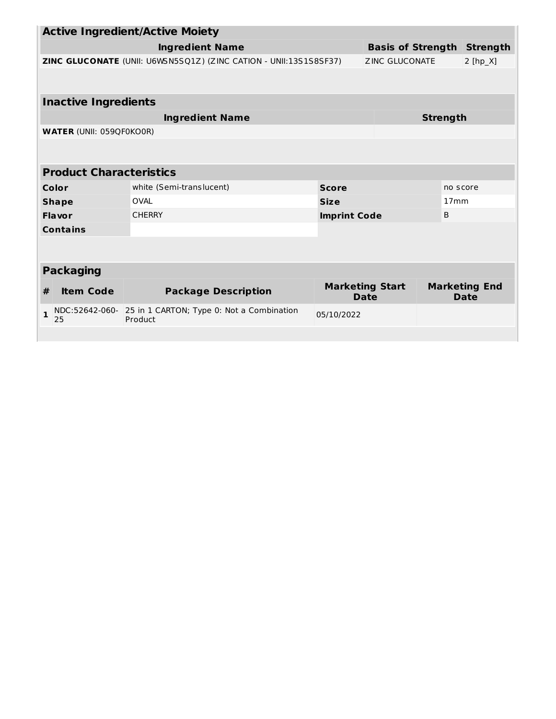| <b>Active Ingredient/Active Moiety</b>                            |                                                   |                                                      |                                 |                                       |                              |                 |
|-------------------------------------------------------------------|---------------------------------------------------|------------------------------------------------------|---------------------------------|---------------------------------------|------------------------------|-----------------|
|                                                                   |                                                   | <b>Ingredient Name</b>                               |                                 | <b>Basis of Strength</b>              |                              | <b>Strength</b> |
| ZINC GLUCONATE (UNII: U6WSN5SQ1Z) (ZINC CATION - UNII:13S1S8SF37) |                                                   |                                                      | <b>ZINC GLUCONATE</b>           |                                       | $2 [hp_X]$                   |                 |
|                                                                   |                                                   |                                                      |                                 |                                       |                              |                 |
|                                                                   | <b>Inactive Ingredients</b>                       |                                                      |                                 |                                       |                              |                 |
| <b>Ingredient Name</b>                                            |                                                   |                                                      |                                 | <b>Strength</b>                       |                              |                 |
|                                                                   | <b>WATER (UNII: 059QF0KO0R)</b>                   |                                                      |                                 |                                       |                              |                 |
|                                                                   |                                                   |                                                      |                                 |                                       |                              |                 |
| <b>Product Characteristics</b>                                    |                                                   |                                                      |                                 |                                       |                              |                 |
|                                                                   | white (Semi-translucent)<br>Color<br><b>Score</b> |                                                      |                                 | no score                              |                              |                 |
|                                                                   | <b>Shape</b>                                      | <b>OVAL</b>                                          | <b>Size</b><br>17 <sub>mm</sub> |                                       |                              |                 |
|                                                                   | Flavor                                            | <b>CHERRY</b>                                        | B<br><b>Imprint Code</b>        |                                       |                              |                 |
| <b>Contains</b>                                                   |                                                   |                                                      |                                 |                                       |                              |                 |
|                                                                   |                                                   |                                                      |                                 |                                       |                              |                 |
| <b>Packaging</b>                                                  |                                                   |                                                      |                                 |                                       |                              |                 |
| #                                                                 | <b>Item Code</b>                                  | <b>Package Description</b>                           |                                 | <b>Marketing Start</b><br><b>Date</b> | <b>Marketing End</b><br>Date |                 |
| $\mathbf{1}$                                                      | NDC:52642-060-<br>25                              | 25 in 1 CARTON; Type 0: Not a Combination<br>Product | 05/10/2022                      |                                       |                              |                 |
|                                                                   |                                                   |                                                      |                                 |                                       |                              |                 |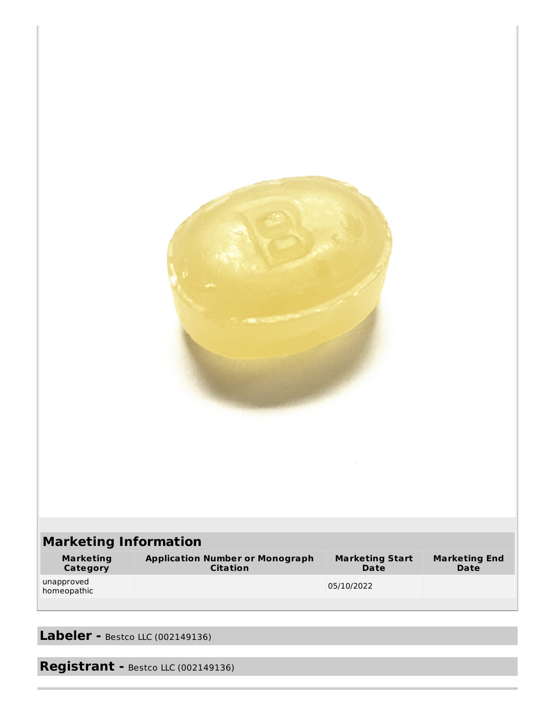| <b>Marketing Information</b> |                                                     |                                |                                     |
|------------------------------|-----------------------------------------------------|--------------------------------|-------------------------------------|
| <b>Marketing</b><br>Category | <b>Application Number or Monograph<br/>Citation</b> | <b>Marketing Start</b><br>Date | <b>Marketing End</b><br><b>Date</b> |
| unapproved<br>homeopathic    |                                                     | 05/10/2022                     |                                     |
|                              |                                                     |                                |                                     |

**Labeler -** Bestco LLC (002149136)

**Registrant -** Bestco LLC (002149136)